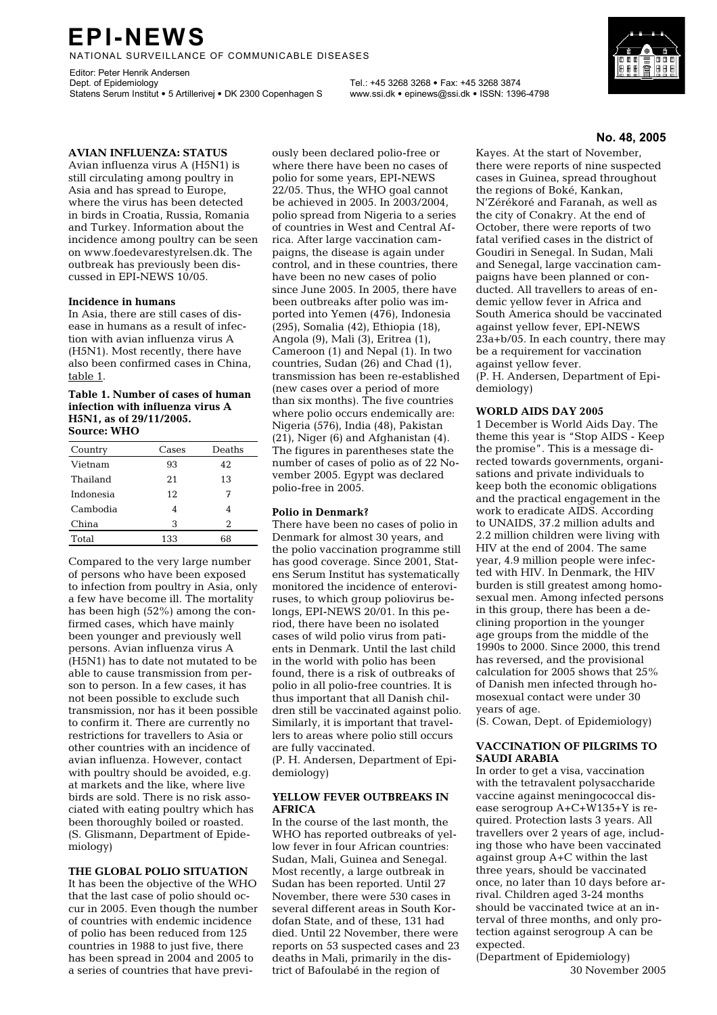# **EPI-NEWS**

NATIONAL SURVEILLANCE OF COMMUNICABLE DISEASES

Editor: Peter Henrik Andersen Dept. of Epidemiology Tel.: +45 3268 3268 • Fax: +45 3268 3874 Statens Serum Institut • 5 Artillerivej • DK 2300 Copenhagen S www.ssi.dk • epinews@ssi.dk • ISSN: 1396-4798

# **AVIAN INFLUENZA: STATUS**

Avian influenza virus A (H5N1) is still circulating among poultry in Asia and has spread to Europe, where the virus has been detected in birds in Croatia, Russia, Romania and Turkey. Information about the incidence among poultry can be seen on www.foedevarestyrelsen.dk. The outbreak has previously been discussed in EPI-NEWS 10/05.

### **Incidence in humans**

In Asia, there are still cases of disease in humans as a result of infection with avian influenza virus A (H5N1). Most recently, there have also been confirmed cases in China, table 1.

#### **Table 1. Number of cases of human infection with influenza virus A H5N1, as of 29/11/2005. Source: WHO**

| Country   | Cases | Deaths         |
|-----------|-------|----------------|
| Vietnam   | 93    | 42             |
| Thailand  | 2.1   | 13             |
| Indonesia | 12    | 7              |
| Cambodia  | 4     | 4              |
| China     | 3     | $\mathfrak{D}$ |
| Total     | 133   | 68             |

Compared to the very large number of persons who have been exposed to infection from poultry in Asia, only a few have become ill. The mortality has been high (52%) among the confirmed cases, which have mainly been younger and previously well persons. Avian influenza virus A (H5N1) has to date not mutated to be able to cause transmission from person to person. In a few cases, it has not been possible to exclude such transmission, nor has it been possible to confirm it. There are currently no restrictions for travellers to Asia or other countries with an incidence of avian influenza. However, contact with poultry should be avoided, e.g. at markets and the like, where live birds are sold. There is no risk associated with eating poultry which has been thoroughly boiled or roasted. (S. Glismann, Department of Epidemiology)

#### **THE GLOBAL POLIO SITUATION**

It has been the objective of the WHO that the last case of polio should occur in 2005. Even though the number of countries with endemic incidence of polio has been reduced from 125 countries in 1988 to just five, there has been spread in 2004 and 2005 to a series of countries that have previ-

ously been declared polio-free or where there have been no cases of polio for some years, EPI-NEWS 22/05. Thus, the WHO goal cannot be achieved in 2005. In 2003/2004, polio spread from Nigeria to a series of countries in West and Central Africa. After large vaccination campaigns, the disease is again under control, and in these countries, there have been no new cases of polio since June 2005. In 2005, there have been outbreaks after polio was imported into Yemen (476), Indonesia (295), Somalia (42), Ethiopia (18), Angola (9), Mali (3), Eritrea (1), Cameroon (1) and Nepal (1). In two countries, Sudan (26) and Chad (1), transmission has been re-established (new cases over a period of more than six months). The five countries where polio occurs endemically are: Nigeria (576), India (48), Pakistan (21), Niger (6) and Afghanistan (4). The figures in parentheses state the number of cases of polio as of 22 November 2005. Egypt was declared polio-free in 2005.

#### **Polio in Denmark?**

There have been no cases of polio in Denmark for almost 30 years, and the polio vaccination programme still has good coverage. Since 2001, Statens Serum Institut has systematically monitored the incidence of enteroviruses, to which group poliovirus belongs, EPI-NEWS 20/01. In this period, there have been no isolated cases of wild polio virus from patients in Denmark. Until the last child in the world with polio has been found, there is a risk of outbreaks of polio in all polio-free countries. It is thus important that all Danish children still be vaccinated against polio. Similarly, it is important that travellers to areas where polio still occurs are fully vaccinated.

(P. H. Andersen, Department of Epidemiology)

### **YELLOW FEVER OUTBREAKS IN AFRICA**

In the course of the last month, the WHO has reported outbreaks of yellow fever in four African countries: Sudan, Mali, Guinea and Senegal. Most recently, a large outbreak in Sudan has been reported. Until 27 November, there were 530 cases in several different areas in South Kordofan State, and of these, 131 had died. Until 22 November, there were reports on 53 suspected cases and 23 deaths in Mali, primarily in the district of Bafoulabé in the region of

### **No. 48, 2005**

Kayes. At the start of November, there were reports of nine suspected cases in Guinea, spread throughout the regions of Boké, Kankan, N'Zérékoré and Faranah, as well as the city of Conakry. At the end of October, there were reports of two fatal verified cases in the district of Goudiri in Senegal. In Sudan, Mali and Senegal, large vaccination campaigns have been planned or conducted. All travellers to areas of endemic yellow fever in Africa and South America should be vaccinated against yellow fever, EPI-NEWS 23a+b/05. In each country, there may be a requirement for vaccination against yellow fever.

(P. H. Andersen, Department of Epidemiology)

#### **WORLD AIDS DAY 2005**

1 December is World Aids Day. The theme this year is "Stop AIDS - Keep the promise". This is a message directed towards governments, organisations and private individuals to keep both the economic obligations and the practical engagement in the work to eradicate AIDS. According to UNAIDS, 37.2 million adults and 2.2 million children were living with HIV at the end of 2004. The same year, 4.9 million people were infected with HIV. In Denmark, the HIV burden is still greatest among homosexual men. Among infected persons in this group, there has been a declining proportion in the younger age groups from the middle of the 1990s to 2000. Since 2000, this trend has reversed, and the provisional calculation for 2005 shows that 25% of Danish men infected through homosexual contact were under 30 years of age.

(S. Cowan, Dept. of Epidemiology)

### **VACCINATION OF PILGRIMS TO SAUDI ARABIA**

In order to get a visa, vaccination with the tetravalent polysaccharide vaccine against meningococcal disease serogroup A+C+W135+Y is required. Protection lasts 3 years. All travellers over 2 years of age, including those who have been vaccinated against group A+C within the last three years, should be vaccinated once, no later than 10 days before arrival. Children aged 3-24 months should be vaccinated twice at an interval of three months, and only protection against serogroup A can be expected.

(Department of Epidemiology) 30 November 2005